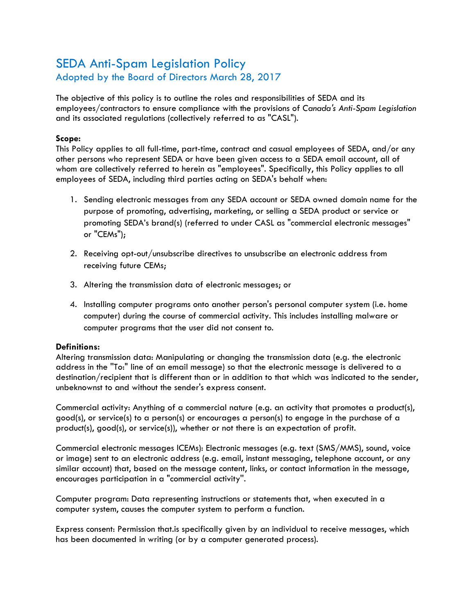# SEDA Anti-Spam Legislation Policy Adopted by the Board of Directors March 28, 2017

The objective of this policy is to outline the roles and responsibilities of SEDA and its employees/contractors to ensure compliance with the provisions of *Canada's Anti-Spam Legislation*  and its associated regulations (collectively referred to as "CASL").

#### **Scope:**

This Policy applies to all full-time, part-time, contract and casual employees of SEDA, and/or any other persons who represent SEDA or have been given access to a SEDA email account, all of whom are collectively referred to herein as "employees". Specifically, this Policy applies to all employees of SEDA, including third parties acting on SEDA's behalf when:

- 1. Sending electronic messages from any SEDA account or SEDA owned domain name for the purpose of promoting, advertising, marketing, or selling a SEDA product or service or promoting SEDA's brand(s) (referred to under CASL as "commercial electronic messages" or "CEMs");
- 2. Receiving opt-out/unsubscribe directives to unsubscribe an electronic address from receiving future CEMs;
- 3. Altering the transmission data of electronic messages; or
- 4. Installing computer programs onto another person's personal computer system (i.e. home computer) during the course of commercial activity. This includes installing malware or computer programs that the user did not consent to.

## **Definitions:**

Altering transmission data: Manipulating or changing the transmission data (e.g. the electronic address in the ''To:" line of an email message) so that the electronic message is delivered to a destination/recipient that is different than or in addition to that which was indicated to the sender, unbeknownst to and without the sender's express consent.

Commercial activity: Anything of a commercial nature (e.g. an activity that promotes a product(s), good(s), or service(s) to a person(s) or encourages a person(s) to engage in the purchase of a product(s), good(s), or service(s)), whether or not there is an expectation of profit.

Commercial electronic messages lCEMs): Electronic messages (e.g. text (SMS/MMS), sound, voice or image) sent to an electronic address (e.g. email, instant messaging, telephone account, or any similar account) that, based on the message content, links, or contact information in the message, encourages participation in a "commercial activity''.

Computer program: Data representing instructions or statements that, when executed in a computer system, causes the computer system to perform a function.

Express consent: Permission that.is specifically given by an individual to receive messages, which has been documented in writing (or by a computer generated process).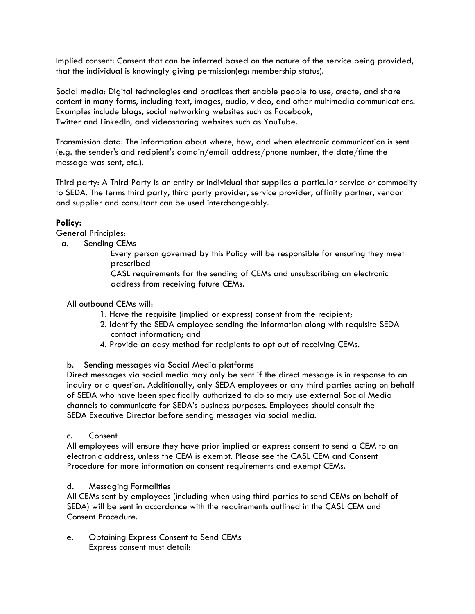Implied consent: Consent that can be inferred based on the nature of the service being provided, that the individual is knowingly giving permission(eg: membership status).

Social media: Digital technologies and practices that enable people to use, create, and share content in many forms, including text, images, audio, video, and other multimedia communications. Examples include blogs, social networking websites such as Facebook, Twitter and Linkedln, and videosharing websites such as YouTube.

Transmission data: The information about where, how, and when electronic communication is sent (e.g. the sender's and recipient's domain/email address/phone number, the date/time the message was sent, etc.).

Third party: A Third Party is an entity or individual that supplies a particular service or commodity to SEDA. The terms third party, third party provider, service provider, affinity partner, vendor and supplier and consultant can be used interchangeably.

## **Policy:**

General Principles:

- a. Sending CEMs
	- Every person governed by this Policy will be responsible for ensuring they meet prescribed
	- CASL requirements for the sending of CEMs and unsubscribing an electronic address from receiving future CEMs.

### All outbound CEMs will:

- 1. Have the requisite (implied or express) consent from the recipient;
- 2. Identify the SEDA employee sending the information along with requisite SEDA contact information; and
- 4. Provide an easy method for recipients to opt out of receiving CEMs.
- b. Sending messages via Social Media platforms

Direct messages via social media may only be sent if the direct message is in response to an inquiry or a question. Additionally, only SEDA employees or any third parties acting on behalf of SEDA who have been specifically authorized to do so may use external Social Media channels to communicate for SEDA's business purposes. Employees should consult the SEDA Executive Director before sending messages via social media.

c. Consent

All employees will ensure they have prior implied or express consent to send a CEM to an electronic address, unless the CEM is exempt. Please see the CASL CEM and Consent Procedure for more information on consent requirements and exempt CEMs.

#### d. Messaging Formalities

All CEMs sent by employees (including when using third parties to send CEMs on behalf of SEDA) will be sent in accordance with the requirements outlined in the CASL CEM and Consent Procedure.

e. Obtaining Express Consent to Send CEMs Express consent must detail: